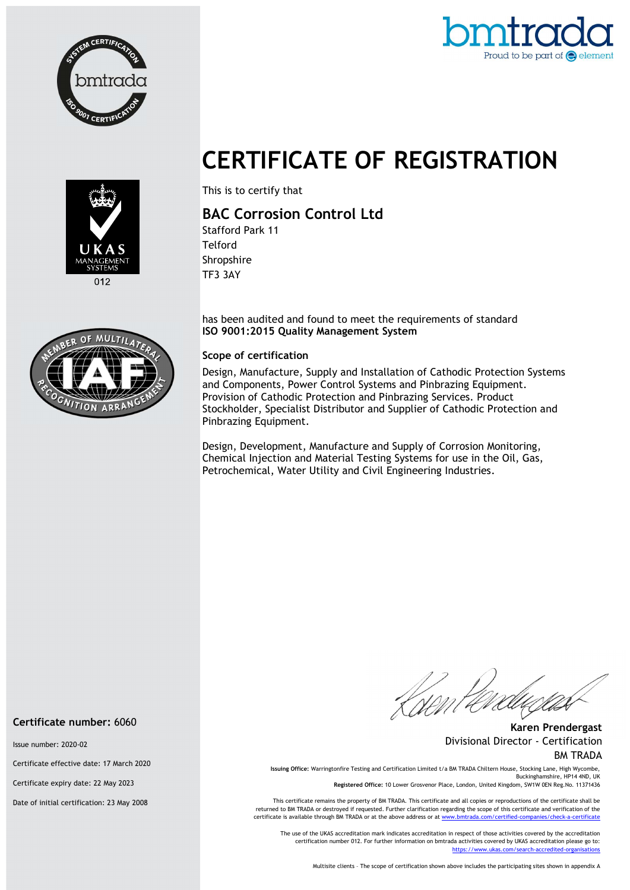



# CERTIFICATE OF REGISTRATION



012



This is to certify that

## BAC Corrosion Control Ltd

Stafford Park 11 **Telford** Shropshire TF3 3AY

has been audited and found to meet the requirements of standard ISO 9001:2015 Quality Management System

#### Scope of certification

Design, Manufacture, Supply and Installation of Cathodic Protection Systems and Components, Power Control Systems and Pinbrazing Equipment. Provision of Cathodic Protection and Pinbrazing Services. Product Stockholder, Specialist Distributor and Supplier of Cathodic Protection and Pinbrazing Equipment.

Design, Development, Manufacture and Supply of Corrosion Monitoring, Chemical Injection and Material Testing Systems for use in the Oil, Gas, Petrochemical, Water Utility and Civil Engineering Industries.

Karen Prendergast Divisional Director - Certification BM TRADA

Issuing Office: Warringtonfire Testing and Certification Limited t/a BM TRADA Chiltern House, Stocking Lane, High Wycombe, Buckinghamshire, HP14 4ND, UK

Registered Office: 10 Lower Grosvenor Place, London, United Kingdom, SW1W 0EN Reg.No. 11371436

This certificate remains the property of BM TRADA. This certificate and all copies or reproductions of the certificate shall be returned to BM TRADA or destroyed if requested. Further clarification regarding the scope of this certificate and verification of the certificate is available through BM TRADA or at the above address or at www.bmtrada.com/certified-companies/check-a-certificate

The use of the UKAS accreditation mark indicates accreditation in respect of those activities covered by the accreditation certification number 012. For further information on bmtrada activities covered by UKAS accreditation please go to: https://www.ukas.com/search-accredited-organisations

Multisite clients – The scope of certification shown above includes the participating sites shown in appendix A

Certificate number: 6060

Issue number: 2020-02

Certificate effective date: 17 March 2020

Certificate expiry date: 22 May 2023

Date of initial certification: 23 May 2008